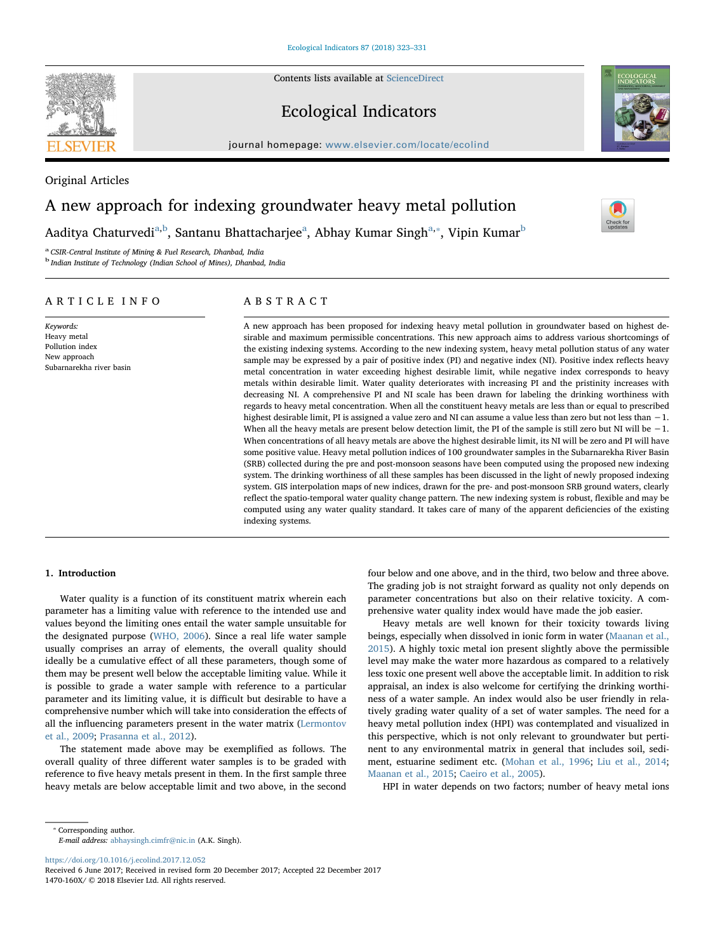Contents lists available at [ScienceDirect](http://www.sciencedirect.com/science/journal/1470160X)

# Ecological Indicators

journal homepage: [www.elsevier.com/locate/ecolind](https://www.elsevier.com/locate/ecolind)

Original Articles

# A new approach for indexing groundwater heavy metal pollution

A[a](#page-0-0)ditya Chaturvedi<sup>a[,b](#page-0-1)</sup>, Santanu Bhattacharjee<sup>a</sup>, Abhay Kumar Singh<sup>[a,](#page-0-0)</sup>\*, Vipin Kumar<sup>[b](#page-0-1)</sup>

<span id="page-0-0"></span><sup>a</sup> CSIR-Central Institute of Mining & Fuel Research, Dhanbad, India

<span id="page-0-1"></span><sup>b</sup> Indian Institute of Technology (Indian School of Mines), Dhanbad, India

# ARTICLE INFO

#### Keywords: Heavy metal Pollution index New approach Subarnarekha river basin

# ABSTRACT

A new approach has been proposed for indexing heavy metal pollution in groundwater based on highest desirable and maximum permissible concentrations. This new approach aims to address various shortcomings of the existing indexing systems. According to the new indexing system, heavy metal pollution status of any water sample may be expressed by a pair of positive index (PI) and negative index (NI). Positive index reflects heavy metal concentration in water exceeding highest desirable limit, while negative index corresponds to heavy metals within desirable limit. Water quality deteriorates with increasing PI and the pristinity increases with decreasing NI. A comprehensive PI and NI scale has been drawn for labeling the drinking worthiness with regards to heavy metal concentration. When all the constituent heavy metals are less than or equal to prescribed highest desirable limit, PI is assigned a value zero and NI can assume a value less than zero but not less than −1. When all the heavy metals are present below detection limit, the PI of the sample is still zero but NI will be −1. When concentrations of all heavy metals are above the highest desirable limit, its NI will be zero and PI will have some positive value. Heavy metal pollution indices of 100 groundwater samples in the Subarnarekha River Basin (SRB) collected during the pre and post-monsoon seasons have been computed using the proposed new indexing system. The drinking worthiness of all these samples has been discussed in the light of newly proposed indexing system. GIS interpolation maps of new indices, drawn for the pre- and post-monsoon SRB ground waters, clearly reflect the spatio-temporal water quality change pattern. The new indexing system is robust, flexible and may be computed using any water quality standard. It takes care of many of the apparent deficiencies of the existing indexing systems.

## 1. Introduction

Water quality is a function of its constituent matrix wherein each parameter has a limiting value with reference to the intended use and values beyond the limiting ones entail the water sample unsuitable for the designated purpose ([WHO, 2006\)](#page--1-0). Since a real life water sample usually comprises an array of elements, the overall quality should ideally be a cumulative effect of all these parameters, though some of them may be present well below the acceptable limiting value. While it is possible to grade a water sample with reference to a particular parameter and its limiting value, it is difficult but desirable to have a comprehensive number which will take into consideration the effects of all the influencing parameters present in the water matrix ([Lermontov](#page--1-1) [et al., 2009](#page--1-1); [Prasanna et al., 2012\)](#page--1-2).

The statement made above may be exemplified as follows. The overall quality of three different water samples is to be graded with reference to five heavy metals present in them. In the first sample three heavy metals are below acceptable limit and two above, in the second

four below and one above, and in the third, two below and three above. The grading job is not straight forward as quality not only depends on parameter concentrations but also on their relative toxicity. A comprehensive water quality index would have made the job easier.

Heavy metals are well known for their toxicity towards living beings, especially when dissolved in ionic form in water ([Maanan et al.,](#page--1-3) [2015\)](#page--1-3). A highly toxic metal ion present slightly above the permissible level may make the water more hazardous as compared to a relatively less toxic one present well above the acceptable limit. In addition to risk appraisal, an index is also welcome for certifying the drinking worthiness of a water sample. An index would also be user friendly in relatively grading water quality of a set of water samples. The need for a heavy metal pollution index (HPI) was contemplated and visualized in this perspective, which is not only relevant to groundwater but pertinent to any environmental matrix in general that includes soil, sediment, estuarine sediment etc. [\(Mohan et al., 1996;](#page--1-4) [Liu et al., 2014](#page--1-5); [Maanan et al., 2015](#page--1-3); [Caeiro et al., 2005](#page--1-6)).

HPI in water depends on two factors; number of heavy metal ions

<span id="page-0-2"></span>⁎ Corresponding author. E-mail address: [abhaysingh.cimfr@nic.in](mailto:abhaysingh.cimfr@nic.in) (A.K. Singh).

<https://doi.org/10.1016/j.ecolind.2017.12.052>





[T](http://crossmark.crossref.org/dialog/?doi=10.1016/j.ecolind.2017.12.052&domain=pdf)

Received 6 June 2017; Received in revised form 20 December 2017; Accepted 22 December 2017 1470-160X/ © 2018 Elsevier Ltd. All rights reserved.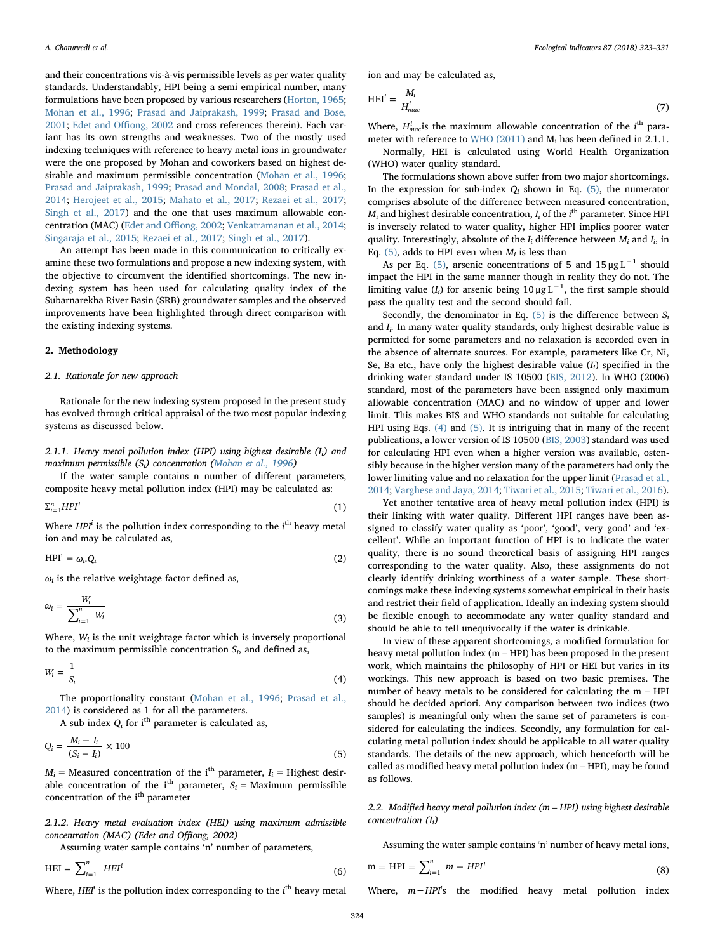and their concentrations vis-à-vis permissible levels as per water quality standards. Understandably, HPI being a semi empirical number, many formulations have been proposed by various researchers [\(Horton, 1965](#page--1-7); [Mohan et al., 1996;](#page--1-4) [Prasad and Jaiprakash, 1999](#page--1-8); [Prasad and Bose,](#page--1-9) [2001;](#page--1-9) [Edet and O](#page--1-10)ffiong, 2002 and cross references therein). Each variant has its own strengths and weaknesses. Two of the mostly used indexing techniques with reference to heavy metal ions in groundwater were the one proposed by Mohan and coworkers based on highest desirable and maximum permissible concentration ([Mohan et al., 1996](#page--1-4); [Prasad and Jaiprakash, 1999;](#page--1-8) [Prasad and Mondal, 2008](#page--1-11); [Prasad et al.,](#page--1-12) [2014;](#page--1-12) [Herojeet et al., 2015](#page--1-13); [Mahato et al., 2017;](#page--1-14) [Rezaei et al., 2017](#page--1-15); [Singh et al., 2017](#page--1-16)) and the one that uses maximum allowable concentration (MAC) ([Edet and O](#page--1-10)ffiong, 2002; [Venkatramanan et al., 2014](#page--1-17); [Singaraja et al., 2015;](#page--1-18) [Rezaei et al., 2017](#page--1-15); [Singh et al., 2017](#page--1-16)).

An attempt has been made in this communication to critically examine these two formulations and propose a new indexing system, with the objective to circumvent the identified shortcomings. The new indexing system has been used for calculating quality index of the Subarnarekha River Basin (SRB) groundwater samples and the observed improvements have been highlighted through direct comparison with the existing indexing systems.

### 2. Methodology

## 2.1. Rationale for new approach

Rationale for the new indexing system proposed in the present study has evolved through critical appraisal of the two most popular indexing systems as discussed below.

2.1.1. Heavy metal pollution index (HPI) using highest desirable  $(I_i)$  and maximum permissible  $(S_i)$  concentration ([Mohan et al., 1996](#page--1-4))

If the water sample contains n number of different parameters, composite heavy metal pollution index (HPI) may be calculated as:

$$
\sum_{i=1}^{n} HPI^{i} \tag{1}
$$

Where  $HPI<sup>i</sup>$  is the pollution index corresponding to the  $i<sup>th</sup>$  heavy metal ion and may be calculated as,

$$
HPIi = \omega_i Q_i
$$
 (2)

 $\omega_i$  is the relative weightage factor defined as,

$$
\omega_i = \frac{W_i}{\sum_{i=1}^n W_i} \tag{3}
$$

<span id="page-1-1"></span>Where,  $W_i$  is the unit weightage factor which is inversely proportional to the maximum permissible concentration  $S_i$ , and defined as,

$$
W_i = \frac{1}{S_i} \tag{4}
$$

The proportionality constant ([Mohan et al., 1996](#page--1-4); [Prasad et al.,](#page--1-12) [2014\)](#page--1-12) is considered as 1 for all the parameters.

<span id="page-1-0"></span>A sub index  $Q_i$  for i<sup>th</sup> parameter is calculated as,

$$
Q_i = \frac{|M_i - I_i|}{(S_i - I_i)} \times 100\tag{5}
$$

 $M_i$  = Measured concentration of the i<sup>th</sup> parameter,  $I_i$  = Highest desirable concentration of the i<sup>th</sup> parameter,  $S_i$  = Maximum permissible concentration of the i<sup>th</sup> parameter

2.1.2. Heavy metal evaluation index (HEI) using maximum admissible concentration (MAC) (Edet and Offiong, 2002)

Assuming water sample contains 'n' number of parameters,

$$
HEI = \sum_{i=1}^{n} HEI^{i}
$$
 (6)

Where,  $H E I^i$  is the pollution index corresponding to the  $i^{\text{th}}$  heavy metal

ion and may be calculated as,

$$
H E I^i = \frac{M_i}{H_{mac}^i} \tag{7}
$$

Where,  $H_{mac}^i$  is the maximum allowable concentration of the  $i^{\text{th}}$  parameter with reference to [WHO \(2011\)](#page--1-19) and Mi has been defined in 2.1.1.

Normally, HEI is calculated using World Health Organization (WHO) water quality standard.

The formulations shown above suffer from two major shortcomings. In the expression for sub-index  $Q_i$  shown in Eq. [\(5\)](#page-1-0), the numerator comprises absolute of the difference between measured concentration,  $M_i$  and highest desirable concentration,  $I_i$  of the *i*<sup>th</sup> parameter. Since HPI is inversely related to water quality, higher HPI implies poorer water quality. Interestingly, absolute of the  $I_i$  difference between  $M_i$  and  $I_i$ , in Eq. [\(5\),](#page-1-0) adds to HPI even when  $M_i$  is less than

As per Eq. [\(5\),](#page-1-0) arsenic concentrations of 5 and  $15 \mu g L^{-1}$  should impact the HPI in the same manner though in reality they do not. The limiting value  $(I_i)$  for arsenic being 10 µg L<sup>-1</sup>, the first sample should pass the quality test and the second should fail.

Secondly, the denominator in Eq. [\(5\)](#page-1-0) is the difference between  $S_i$ and  $I_i$ . In many water quality standards, only highest desirable value is permitted for some parameters and no relaxation is accorded even in the absence of alternate sources. For example, parameters like Cr, Ni, Se, Ba etc., have only the highest desirable value  $(I_i)$  specified in the drinking water standard under IS 10500 [\(BIS, 2012](#page--1-20)). In WHO (2006) standard, most of the parameters have been assigned only maximum allowable concentration (MAC) and no window of upper and lower limit. This makes BIS and WHO standards not suitable for calculating HPI using Eqs. [\(4\)](#page-1-1) and [\(5\)](#page-1-0). It is intriguing that in many of the recent publications, a lower version of IS 10500 ([BIS, 2003\)](#page--1-21) standard was used for calculating HPI even when a higher version was available, ostensibly because in the higher version many of the parameters had only the lower limiting value and no relaxation for the upper limit ([Prasad et al.,](#page--1-12) [2014;](#page--1-12) [Varghese and Jaya, 2014;](#page--1-22) [Tiwari et al., 2015](#page--1-23); [Tiwari et al., 2016](#page--1-24)).

Yet another tentative area of heavy metal pollution index (HPI) is their linking with water quality. Different HPI ranges have been assigned to classify water quality as 'poor', 'good', very good' and 'excellent'. While an important function of HPI is to indicate the water quality, there is no sound theoretical basis of assigning HPI ranges corresponding to the water quality. Also, these assignments do not clearly identify drinking worthiness of a water sample. These shortcomings make these indexing systems somewhat empirical in their basis and restrict their field of application. Ideally an indexing system should be flexible enough to accommodate any water quality standard and should be able to tell unequivocally if the water is drinkable.

In view of these apparent shortcomings, a modified formulation for heavy metal pollution index (m – HPI) has been proposed in the present work, which maintains the philosophy of HPI or HEI but varies in its workings. This new approach is based on two basic premises. The number of heavy metals to be considered for calculating the m – HPI should be decided apriori. Any comparison between two indices (two samples) is meaningful only when the same set of parameters is considered for calculating the indices. Secondly, any formulation for calculating metal pollution index should be applicable to all water quality standards. The details of the new approach, which henceforth will be called as modified heavy metal pollution index (m – HPI), may be found as follows.

2.2. Modified heavy metal pollution index (m – HPI) using highest desirable concentration  $(I_i)$ 

Assuming the water sample contains 'n' number of heavy metal ions,

$$
m = HPI = \sum_{i=1}^{n} m - HPI^{i}
$$
\n(8)

Where, m-HPI<sup>i</sup>s the modified heavy metal pollution index